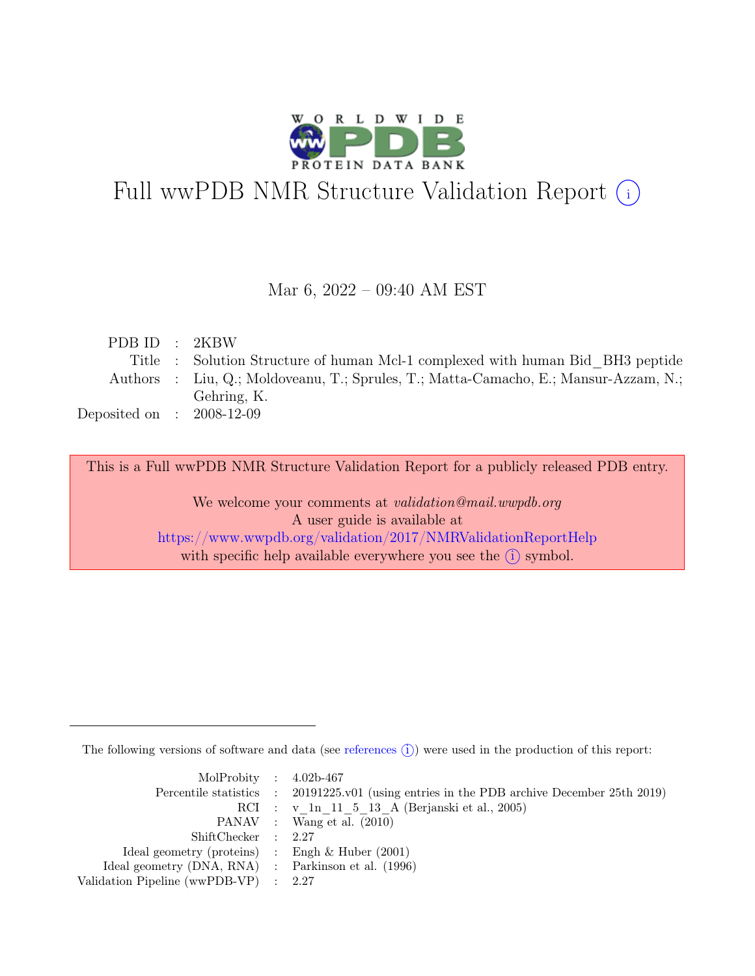

# Full wwPDB NMR Structure Validation Report (i)

#### Mar 6, 2022 – 09:40 AM EST

| PDBID : 2KBW                |                                                                                      |
|-----------------------------|--------------------------------------------------------------------------------------|
|                             | Title : Solution Structure of human Mcl-1 complexed with human Bid BH3 peptide       |
|                             | Authors : Liu, Q.; Moldoveanu, T.; Sprules, T.; Matta-Camacho, E.; Mansur-Azzam, N.; |
|                             | Gehring, K.                                                                          |
| Deposited on : $2008-12-09$ |                                                                                      |

This is a Full wwPDB NMR Structure Validation Report for a publicly released PDB entry.

We welcome your comments at *validation@mail.wwpdb.org* A user guide is available at <https://www.wwpdb.org/validation/2017/NMRValidationReportHelp> with specific help available everywhere you see the  $(i)$  symbol.

The following versions of software and data (see [references](https://www.wwpdb.org/validation/2017/NMRValidationReportHelp#references)  $\hat{I}$ ) were used in the production of this report:

| MolProbity : $4.02b-467$                            |                                                                                            |
|-----------------------------------------------------|--------------------------------------------------------------------------------------------|
|                                                     | Percentile statistics : 20191225.v01 (using entries in the PDB archive December 25th 2019) |
|                                                     | RCI : v 1n 11 5 13 A (Berjanski et al., 2005)                                              |
|                                                     | PANAV : Wang et al. (2010)                                                                 |
| ShiftChecker : 2.27                                 |                                                                                            |
| Ideal geometry (proteins) : Engh $\&$ Huber (2001)  |                                                                                            |
| Ideal geometry (DNA, RNA) : Parkinson et al. (1996) |                                                                                            |
| Validation Pipeline (wwPDB-VP) : 2.27               |                                                                                            |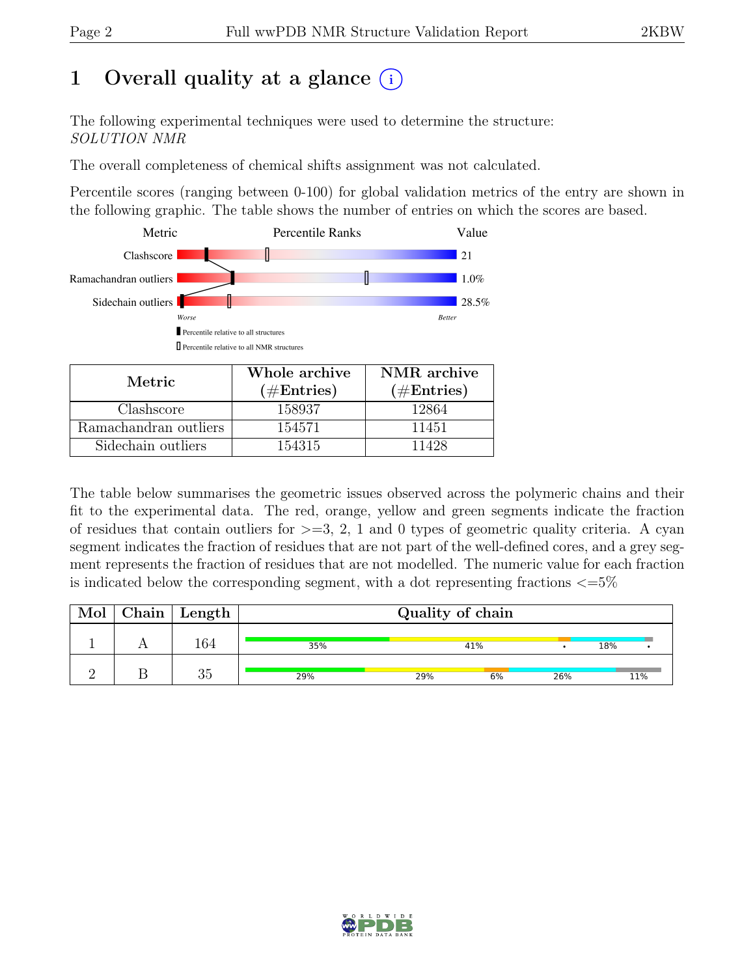### 1 Overall quality at a glance  $(i)$

The following experimental techniques were used to determine the structure: SOLUTION NMR

The overall completeness of chemical shifts assignment was not calculated.

Percentile scores (ranging between 0-100) for global validation metrics of the entry are shown in the following graphic. The table shows the number of entries on which the scores are based.



| Metric                | Whole archive | NMR archive   |  |  |
|-----------------------|---------------|---------------|--|--|
|                       | $(\#Entries)$ | $(\#Entries)$ |  |  |
| Clashscore            | 158937        | 12864         |  |  |
| Ramachandran outliers | 154571        | 11451         |  |  |
| Sidechain outliers    | 154315        | 11428         |  |  |

The table below summarises the geometric issues observed across the polymeric chains and their fit to the experimental data. The red, orange, yellow and green segments indicate the fraction of residues that contain outliers for  $>=$  3, 2, 1 and 0 types of geometric quality criteria. A cyan segment indicates the fraction of residues that are not part of the well-defined cores, and a grey segment represents the fraction of residues that are not modelled. The numeric value for each fraction is indicated below the corresponding segment, with a dot representing fractions  $\langle=5\%$ 

| Mol | $Chain$ Length | Quality of chain |     |     |     |     |
|-----|----------------|------------------|-----|-----|-----|-----|
|     | 164            | 35%              |     | 41% |     | 18% |
|     | 35             | 29%              | 29% | 6%  | 26% | 11% |

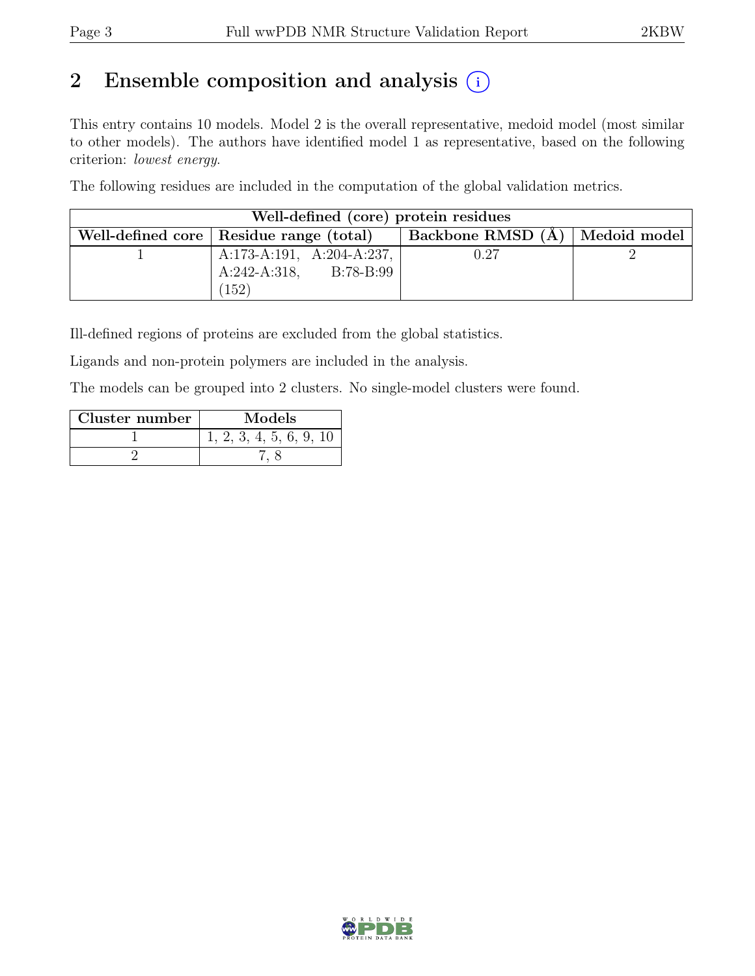### 2 Ensemble composition and analysis  $(i)$

This entry contains 10 models. Model 2 is the overall representative, medoid model (most similar to other models). The authors have identified model 1 as representative, based on the following criterion: lowest energy.

The following residues are included in the computation of the global validation metrics.

| Well-defined (core) protein residues |                                           |                                  |  |  |  |  |  |  |  |
|--------------------------------------|-------------------------------------------|----------------------------------|--|--|--|--|--|--|--|
|                                      | Well-defined core   Residue range (total) | Backbone RMSD (A)   Medoid model |  |  |  |  |  |  |  |
|                                      | A:173-A:191, A:204-A:237,                 | 0.27                             |  |  |  |  |  |  |  |
|                                      | $A:242-A:318, B:78-B:99$                  |                                  |  |  |  |  |  |  |  |
|                                      | 152                                       |                                  |  |  |  |  |  |  |  |

Ill-defined regions of proteins are excluded from the global statistics.

Ligands and non-protein polymers are included in the analysis.

The models can be grouped into 2 clusters. No single-model clusters were found.

| Cluster number | Models                  |
|----------------|-------------------------|
|                | 1, 2, 3, 4, 5, 6, 9, 10 |
|                |                         |

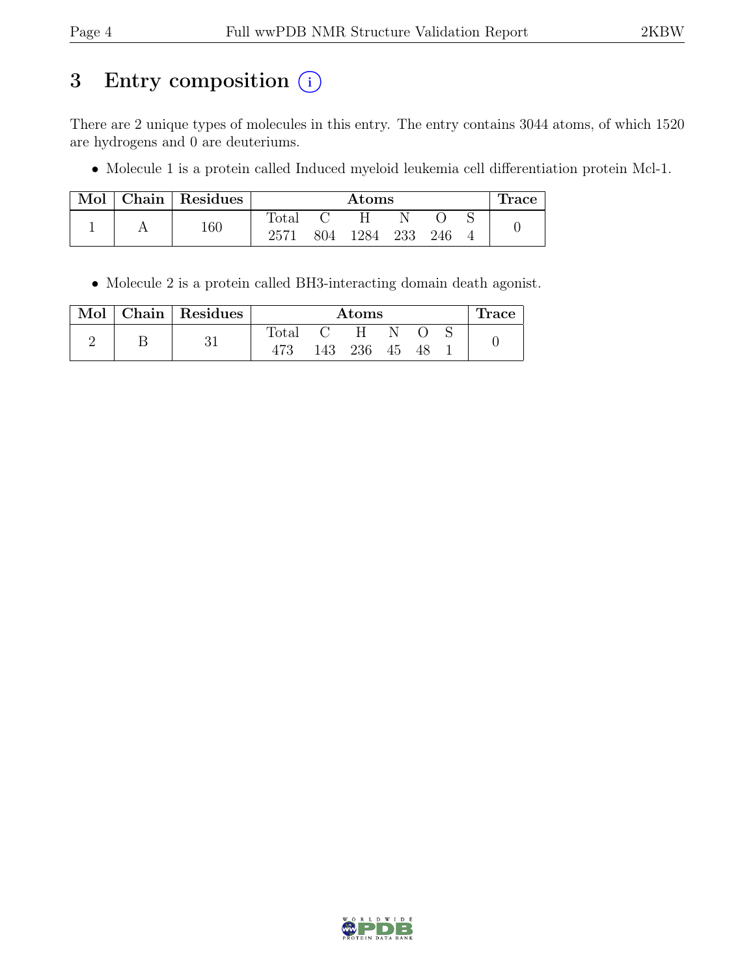### 3 Entry composition (i)

There are 2 unique types of molecules in this entry. The entry contains 3044 atoms, of which 1520 are hydrogens and 0 are deuteriums.

• Molecule 1 is a protein called Induced myeloid leukemia cell differentiation protein Mcl-1.

| Mol |     | Chain   Residues | $\rm{Atoms}$ |      |     |     |  | race |  |
|-----|-----|------------------|--------------|------|-----|-----|--|------|--|
|     |     |                  | Total        |      |     |     |  |      |  |
|     | 160 | 2571             | 804          | 1284 | 233 | 246 |  |      |  |

• Molecule 2 is a protein called BH3-interacting domain death agonist.

| Mol |    | Chain Residues | Atoms |     |    |    |  | Trace |  |
|-----|----|----------------|-------|-----|----|----|--|-------|--|
|     |    |                | Total |     | H  |    |  |       |  |
|     | υı |                | 143   | 236 | 45 | 48 |  |       |  |

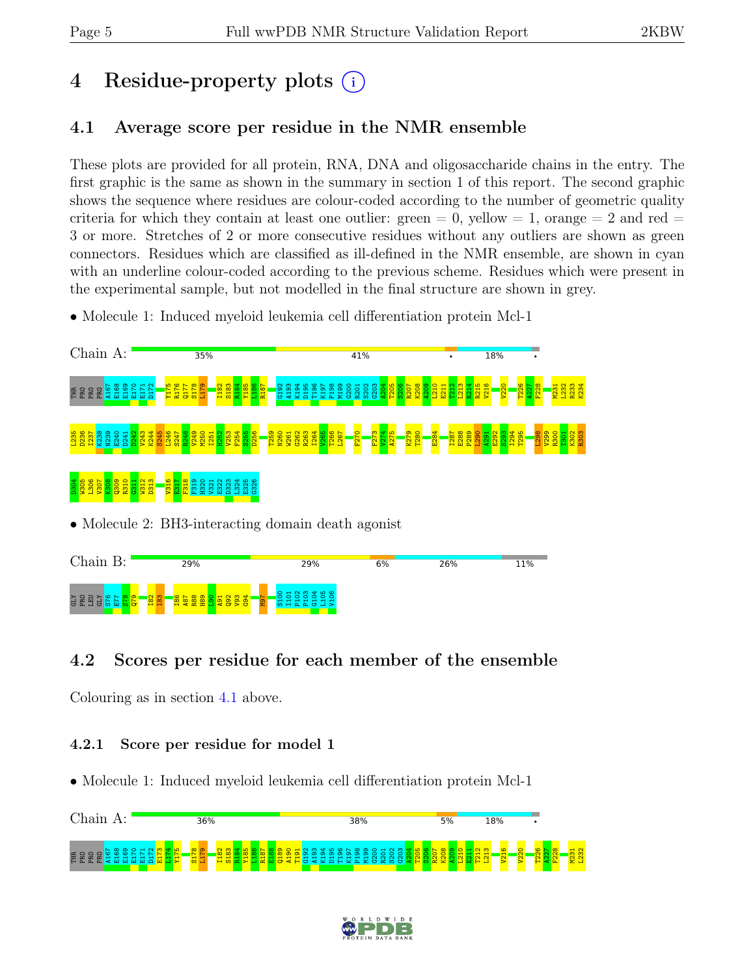## 4 Residue-property plots  $(i)$

#### <span id="page-4-0"></span>4.1 Average score per residue in the NMR ensemble

These plots are provided for all protein, RNA, DNA and oligosaccharide chains in the entry. The first graphic is the same as shown in the summary in section 1 of this report. The second graphic shows the sequence where residues are colour-coded according to the number of geometric quality criteria for which they contain at least one outlier:  $green = 0$ ,  $yellow = 1$ ,  $orange = 2$  and  $red =$ 3 or more. Stretches of 2 or more consecutive residues without any outliers are shown as green connectors. Residues which are classified as ill-defined in the NMR ensemble, are shown in cyan with an underline colour-coded according to the previous scheme. Residues which were present in the experimental sample, but not modelled in the final structure are shown in grey.

• Molecule 1: Induced myeloid leukemia cell differentiation protein Mcl-1



• Molecule 2: BH3-interacting domain death agonist



### 4.2 Scores per residue for each member of the ensemble

Colouring as in section [4.1](#page-4-0) above.

#### 4.2.1 Score per residue for model 1

• Molecule 1: Induced myeloid leukemia cell differentiation protein Mcl-1



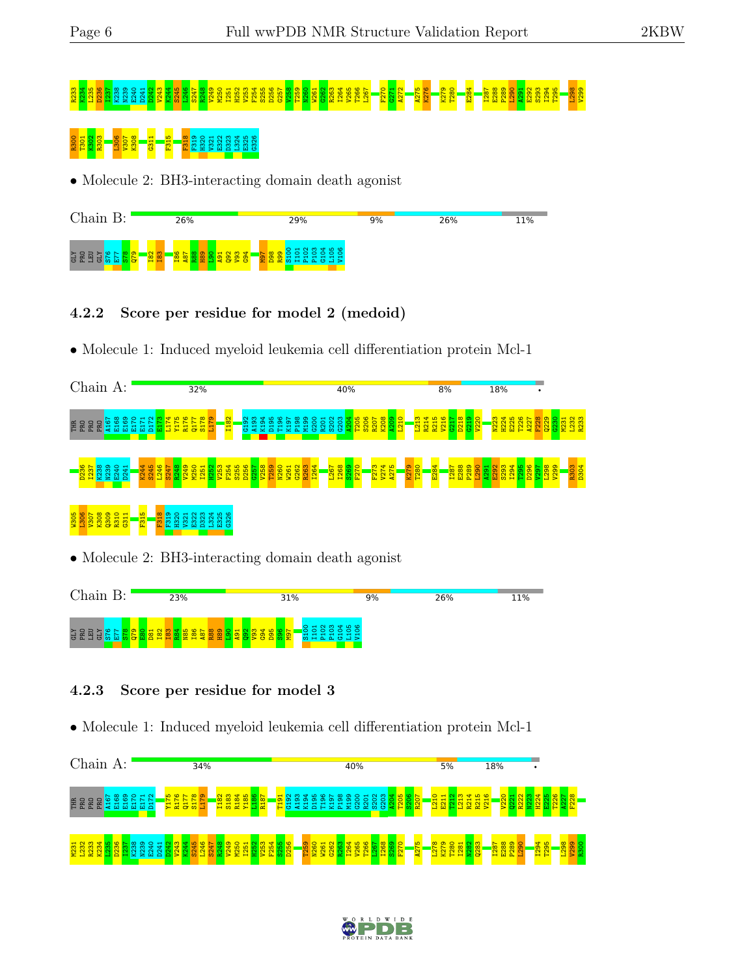# R233 K234 L235 D236 I237 K238 N239 E240 D241 D242 V243 K244 S245 L246 S247 R248 V249 M250 I251 H252 V253 F254 S255 D256 G257 V258 T259 N260 W261 G262 R263 I264 V265 T266 L267 F270 G271 A272 A275 K276 K279 T280 E284 I287 E288 P289 L290 A291 E292 S293 I294 T295 L298 V299

# R300 T301 K302 R303 L306 V307 K308 G311 F315 F318 F319 H320 V321 E322 D323 L324 E325 G326

• Molecule 2: BH3-interacting domain death agonist



#### 4.2.2 Score per residue for model 2 (medoid)

• Molecule 1: Induced myeloid leukemia cell differentiation protein Mcl-1





#### 4.2.3 Score per residue for model 3

• Molecule 1: Induced myeloid leukemia cell differentiation protein Mcl-1



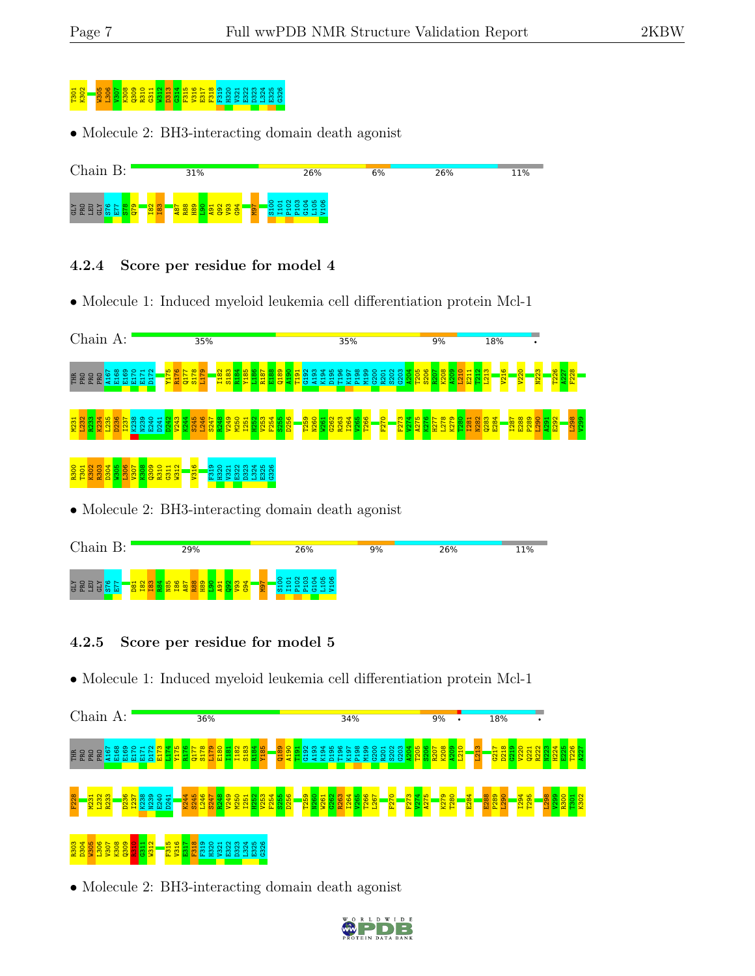# $303212$   $31323$   $31333$   $31333$   $31333$   $31333$   $31333$   $3233$   $3333$   $3333$   $3333$   $3333$   $333$   $333$   $333$   $333$   $333$   $333$   $333$   $333$   $333$   $333$   $333$   $333$   $333$   $333$   $333$   $333$   $333$   $333$   $333$   $333$   $333$   $33$

• Molecule 2: BH3-interacting domain death agonist



#### 4.2.4 Score per residue for model 4

• Molecule 1: Induced myeloid leukemia cell differentiation protein Mcl-1



### • Molecule 2: BH3-interacting domain death agonist



#### 4.2.5 Score per residue for model 5

• Molecule 1: Induced myeloid leukemia cell differentiation protein Mcl-1



• Molecule 2: BH3-interacting domain death agonist

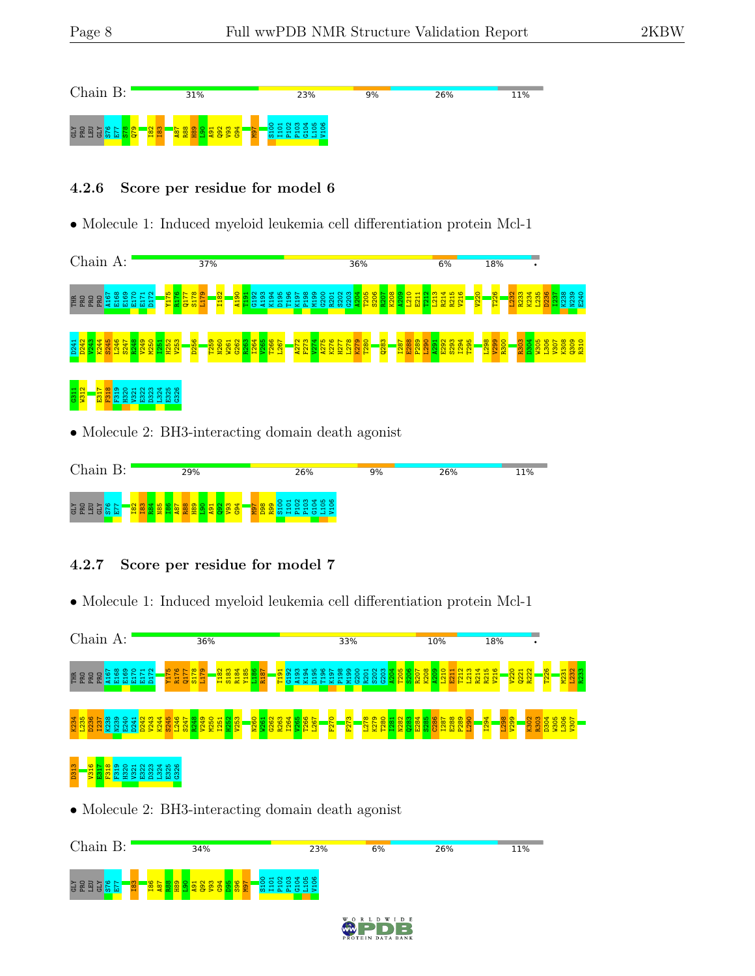

#### 4.2.6 Score per residue for model 6

• Molecule 1: Induced myeloid leukemia cell differentiation protein Mcl-1



• Molecule 2: BH3-interacting domain death agonist



#### 4.2.7 Score per residue for model 7

• Molecule 1: Induced myeloid leukemia cell differentiation protein Mcl-1



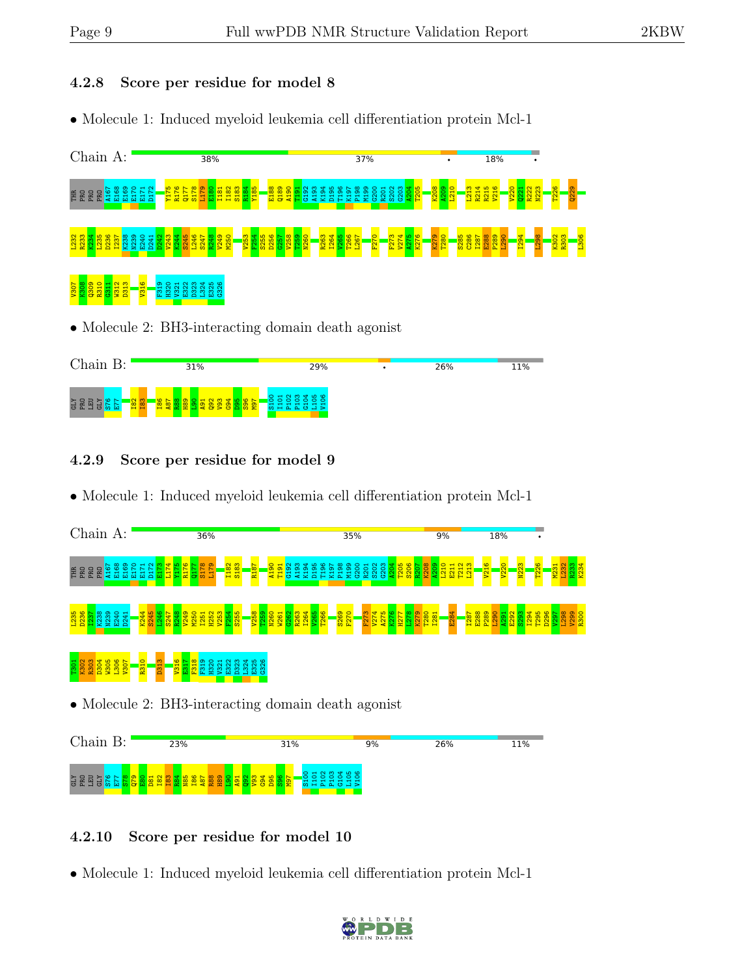#### 4.2.8 Score per residue for model 8

• Molecule 1: Induced myeloid leukemia cell differentiation protein Mcl-1



• Molecule 2: BH3-interacting domain death agonist



#### 4.2.9 Score per residue for model 9

• Molecule 1: Induced myeloid leukemia cell differentiation protein Mcl-1



• Molecule 2: BH3-interacting domain death agonist



#### 4.2.10 Score per residue for model 10

• Molecule 1: Induced myeloid leukemia cell differentiation protein Mcl-1

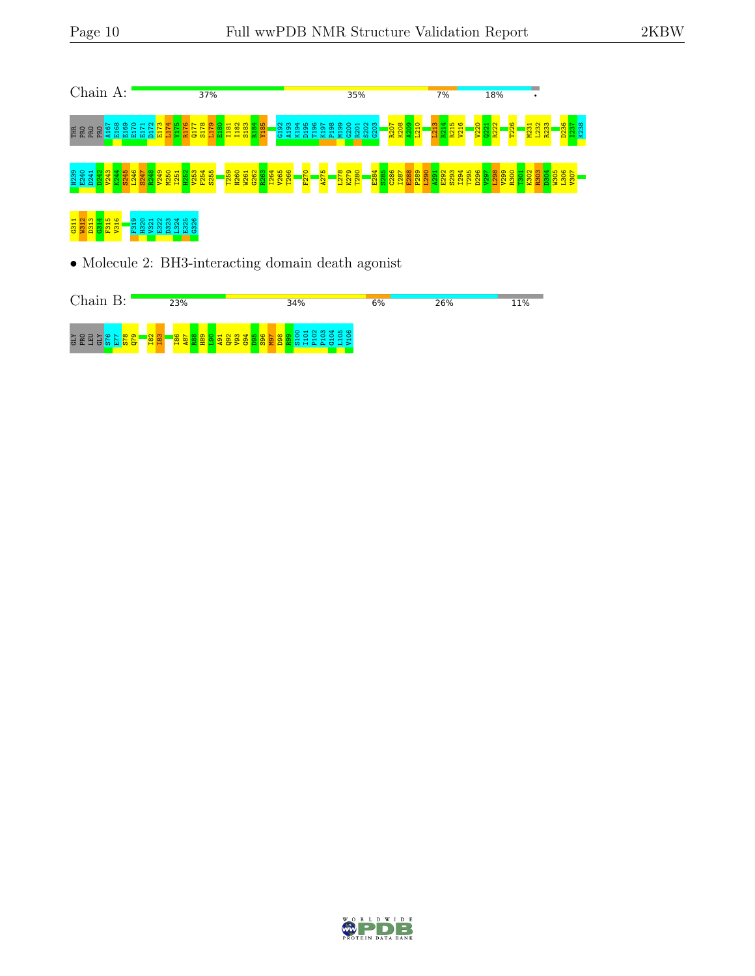

• Molecule 2: BH3-interacting domain death agonist



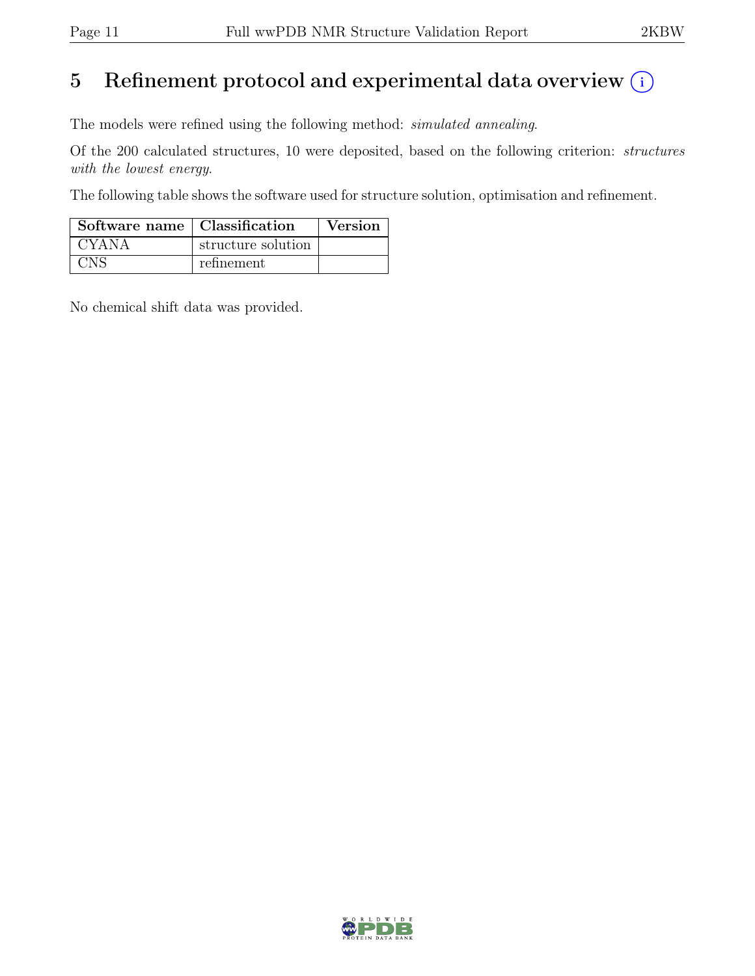### 5 Refinement protocol and experimental data overview  $(i)$

The models were refined using the following method: simulated annealing.

Of the 200 calculated structures, 10 were deposited, based on the following criterion: structures with the lowest energy.

The following table shows the software used for structure solution, optimisation and refinement.

| Software name   Classification |                    | Version |
|--------------------------------|--------------------|---------|
| CYANA                          | structure solution |         |
| CNS                            | refinement         |         |

No chemical shift data was provided.

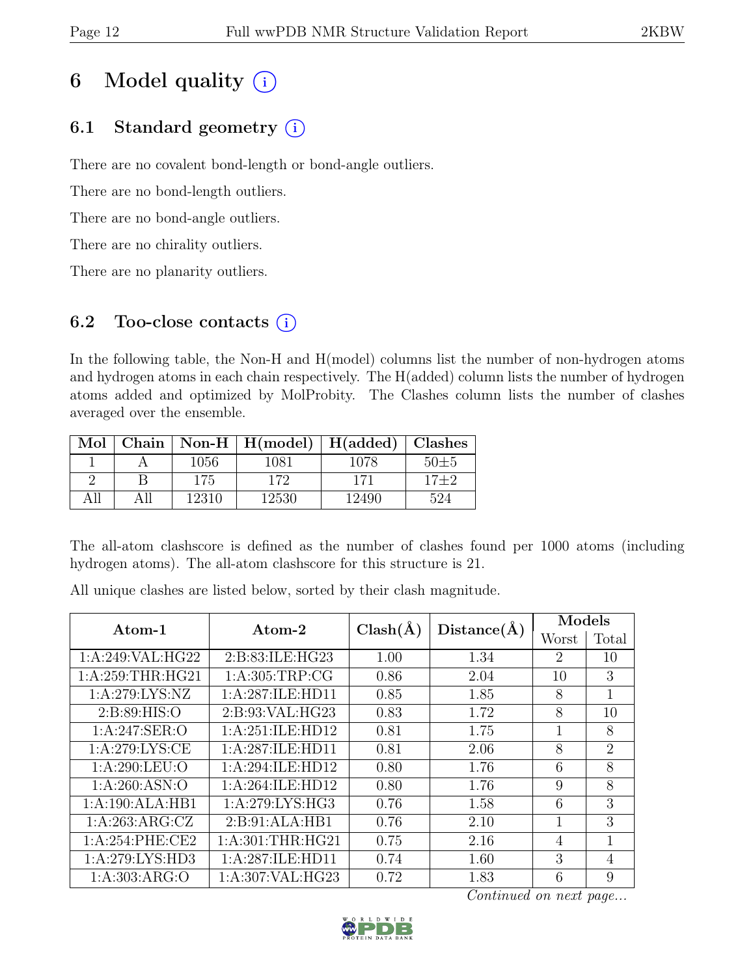### 6 Model quality  $(i)$

### 6.1 Standard geometry  $(i)$

There are no covalent bond-length or bond-angle outliers.

There are no bond-length outliers.

There are no bond-angle outliers.

There are no chirality outliers.

There are no planarity outliers.

#### 6.2 Too-close contacts  $(i)$

In the following table, the Non-H and H(model) columns list the number of non-hydrogen atoms and hydrogen atoms in each chain respectively. The H(added) column lists the number of hydrogen atoms added and optimized by MolProbity. The Clashes column lists the number of clashes averaged over the ensemble.

| Mol  |       | Chain   Non-H   $H(model)$   $H(added)$   Clashes |       |          |
|------|-------|---------------------------------------------------|-------|----------|
|      | 1056  | 1081                                              | 1078  | $50\pm5$ |
|      | 175   | 172                                               | 171   | $17 + 2$ |
| A 11 | 12310 | 12530                                             | 12490 | 524      |

The all-atom clashscore is defined as the number of clashes found per 1000 atoms (including hydrogen atoms). The all-atom clashscore for this structure is 21.

All unique clashes are listed below, sorted by their clash magnitude.

| $\rm{Atom-1}$     | Atom-2              | $Clash(\AA)$ | Distance(A) | Models         |                |  |
|-------------------|---------------------|--------------|-------------|----------------|----------------|--|
|                   |                     |              |             | Worst          | Total          |  |
| 1:A:249:VAL:HG22  | 2:B:83:ILE:HG23     | 1.00         | 1.34        | $\overline{2}$ | 10             |  |
| 1: A:259:THR:HG21 | 1: A:305:TRP:CG     | 0.86         | 2.04        | 10             | 3              |  |
| 1: A:279: LYS: NZ | 1:A:287:ILE:HD11    | 0.85         | 1.85        | 8              | 1              |  |
| 2: B:89: HIS:O    | 2: B: 93: VAL: HG23 | 0.83         | 1.72        | 8              | 10             |  |
| 1: A:247: SER:O   | 1:A:251:ILE:HD12    | 0.81         | 1.75        | 1              | 8              |  |
| 1: A:279: LYS: CE | 1:A:287:ILE:HD11    | 0.81         | 2.06        | 8              | $\overline{2}$ |  |
| 1: A:290:LEU:O    | 1:A:294:ILE:HD12    | 0.80         | 1.76        | 6              | 8              |  |
| 1: A:260: ASN:O   | 1: A:264: ILE: HD12 | 0.80         | 1.76        | 9              | 8              |  |
| 1:A:190:ALA:HB1   | 1: A:279: LYS: HG3  | 0.76         | 1.58        | 6              | 3              |  |
| 1:A:263:ARG:CZ    | 2: B:91:ALA:HB1     | 0.76         | 2.10        | 1              | 3              |  |
| 1: A:254:PHE:CE2  | 1: A:301:THR:HG21   | 0.75         | 2.16        | 4              | 1              |  |
| 1:A:279:LYS:HD3   | 1:A:287:ILE:HD11    | 0.74         | 1.60        | 3              | $\overline{4}$ |  |
| 1: A: 303: ARG: O | 1:A:307:VAL:HG23    | 0.72         | 1.83        | 6              | 9              |  |

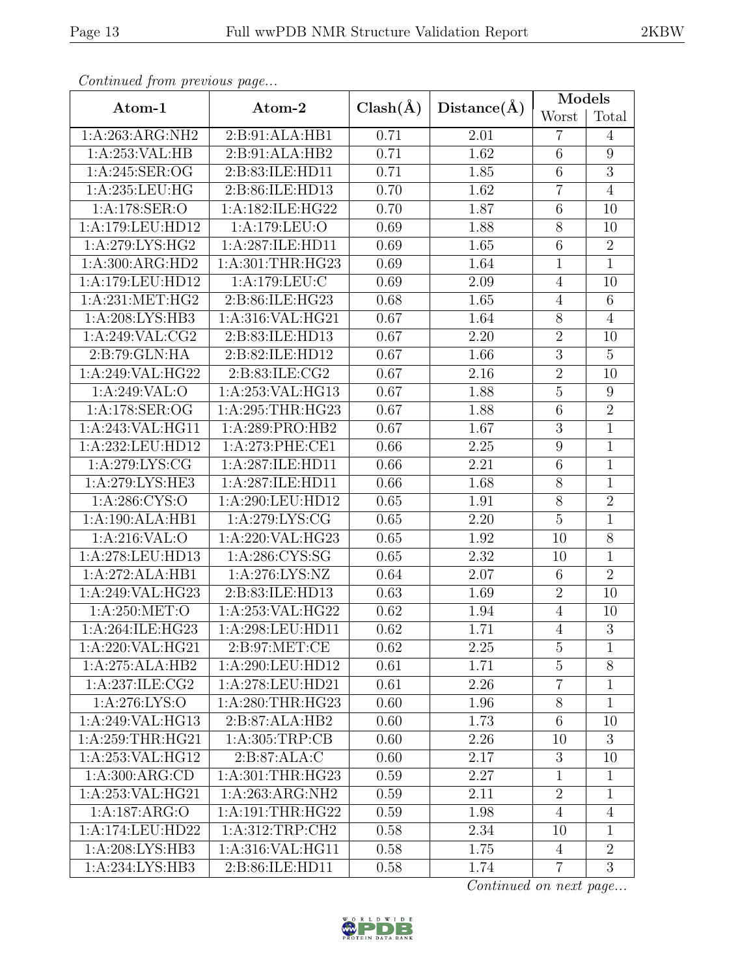| Continuea from previous page                    |                        |      |             | Models          |                 |  |
|-------------------------------------------------|------------------------|------|-------------|-----------------|-----------------|--|
| Atom-1                                          | $Clash(\AA)$<br>Atom-2 |      | Distance(A) | Worst           | Total           |  |
| 1:A:263:ARG:NH2                                 | 2:B:91:ALA:HB1         | 0.71 | 2.01        | $\overline{7}$  | $\overline{4}$  |  |
| 1:A:253:VAL:HB<br>2:B:91:ALA:HB2                |                        | 0.71 | 1.62        | $\overline{6}$  | 9               |  |
| 1:A:245:SER:OG                                  | 2:B:83:ILE:HD11        | 0.71 | 1.85        | $\,6$           | $\overline{3}$  |  |
| 1: A:235:LEU:HG                                 | 2:B:86:ILE:HD13        | 0.70 | 1.62        | $\overline{7}$  | $\overline{4}$  |  |
| 1:A:178:SER:O                                   | 1:A:182:ILE:HG22       | 0.70 | 1.87        | 6               | 10              |  |
| 1:A:179:LEU:HD12                                | 1:A:179:LEU:O          | 0.69 | 1.88        | $8\,$           | 10              |  |
| 1:A:279:LYS:HG2                                 | 1:A:287:ILE:HD11       | 0.69 | 1.65        | 6               | $\overline{2}$  |  |
| 1:A:300:ARG:HD2                                 | 1:A:301:THR:HG23       | 0.69 | 1.64        | $\mathbf{1}$    | $\mathbf{1}$    |  |
| 1:A:179:LEU:HD12                                | 1:A:179:LEU:C          | 0.69 | 2.09        | $\overline{4}$  | 10              |  |
| 1: A:231: MET:HG2                               | 2:B:86:ILE:HG23        | 0.68 | 1.65        | $\overline{4}$  | $6\phantom{.}6$ |  |
| 1: A:208: LYS: HB3                              | 1:A:316:VAL:HG21       | 0.67 | 1.64        | $\overline{8}$  | $\overline{4}$  |  |
| 1:A:249:VAL:CG2                                 | 2:B:83:ILE:HD13        | 0.67 | 2.20        | $\overline{2}$  | 10              |  |
| 2:B:79:GLN:HA                                   | 2:B:82:ILE:HD12        | 0.67 | 1.66        | 3               | $\overline{5}$  |  |
| 1:A:249:VAL:HG22                                | 2:B:83:ILE:CG2         | 0.67 | 2.16        | $\overline{2}$  | 10              |  |
| 1:A:249:VAL:O                                   | 1:A:253:VAL:HG13       | 0.67 | 1.88        | $\overline{5}$  | 9               |  |
| 1:A:178:SER:OG                                  | 1:A:295:THR:HG23       | 0.67 | 1.88        | $\overline{6}$  | $\overline{2}$  |  |
| 1:A:243:VAL:HG11                                | 1:A:289:PRO:HB2        | 0.67 | 1.67        | 3               | $\mathbf 1$     |  |
| 1:A:232:LEU:HD12                                | 1: A:273: PHE:CE1      | 0.66 | 2.25        | $\overline{9}$  | $\mathbf 1$     |  |
| 1:A:279:LYS:CG                                  | 1:A:287:ILE:HD11       | 0.66 | 2.21        | $\overline{6}$  | $\mathbf{1}$    |  |
| 1: A:279: LYS: HE3                              | 1:A:287:ILE:HD11       | 0.66 | 1.68        | $8\,$           | $\mathbf{1}$    |  |
| 1:A:286:CYS:O                                   | 1:A:290:LEU:HD12       | 0.65 | 1.91        | $\overline{8}$  | $\overline{2}$  |  |
| 1:A:190:ALA:HB1<br>1:A:279:LYS:CG               |                        | 0.65 | 2.20        | $\bf 5$         | $\mathbf 1$     |  |
| 1:A:216:VAL:O                                   | 1:A:220:VAL:HG23       | 0.65 | 1.92        | 10              | $\overline{8}$  |  |
| 1:A:278:LEU:HD13                                | 1:A:286:CYS:SG         | 0.65 | 2.32        | 10              | $\mathbf 1$     |  |
| 1:A:272:ALA:HB1                                 | 1: A:276: LYS: NZ      | 0.64 | 2.07        | $\,$ 6 $\,$     | $\overline{2}$  |  |
| 1:A:249:VAL:HG23                                | 2:B:83:ILE:HD13        | 0.63 | 1.69        | $\overline{2}$  | 10              |  |
| 1:A:250:MET:O                                   | 1:A:253:VAL:HG22       | 0.62 | 1.94        | $\overline{4}$  | 10              |  |
| 1:A:264:ILE:HG23                                | 1:A:298:LEU:HD11       | 0.62 | 1.71        | $\overline{4}$  | $\overline{3}$  |  |
| 1:A:220:VAL:HG21                                | 2: B:97: MET:CE        | 0.62 | 2.25        | 5               | $\mathbf{1}$    |  |
| 1:A:275:ALA:HB2                                 | 1:A:290:LEU:HD12       | 0.61 | 1.71        | $\overline{5}$  | 8               |  |
| 1:A:237:ILE:CG2                                 | 1:A:278:LEU:HD21       | 0.61 | 2.26        | $\overline{7}$  | 1               |  |
| 1: A:276: LYS:O                                 | 1: A:280:THR:HG23      | 0.60 | 1.96        | $8\,$           | $\mathbf{1}$    |  |
| 1:A:249:VAL:HG13                                | 2:B:87:ALA:HB2         | 0.60 | 1.73        | $6\phantom{.}6$ | 10              |  |
| 1: A:259:THR:HG21                               | 1: A:305:TRP:CB        | 0.60 | 2.26        | 10              | 3               |  |
| 1:A:253:VAL:HG12                                | 2:B:87:ALA:C           | 0.60 | 2.17        | 3               | 10              |  |
| 1: A:300: ARG:CD                                | 1:A:301:THR:HG23       | 0.59 | 2.27        | $\mathbf{1}$    | $\mathbf{1}$    |  |
| 1:A:253:VAL:HG21<br>1:A:263:ARG:NH2             |                        | 0.59 | 2.11        | $\overline{2}$  | 1               |  |
| 1:A:187:ARG:O                                   | 1:A:191:THR:HG22       | 0.59 | 1.98        | $\overline{4}$  | $\overline{4}$  |  |
| 1:A:174:LEU:HD22                                | 1: A:312:TRP:CH2       | 0.58 | 2.34        | 10              | 1               |  |
| 1:A:208:LYS:HB3                                 | 1:A:316:VAL:HG11       | 0.58 | 1.75        | $\overline{4}$  | $\overline{2}$  |  |
| $1:A:234:LYS:H\overline{B3}$<br>2:B:86:ILE:HD11 |                        | 0.58 | 1.74        | 7               | 3               |  |

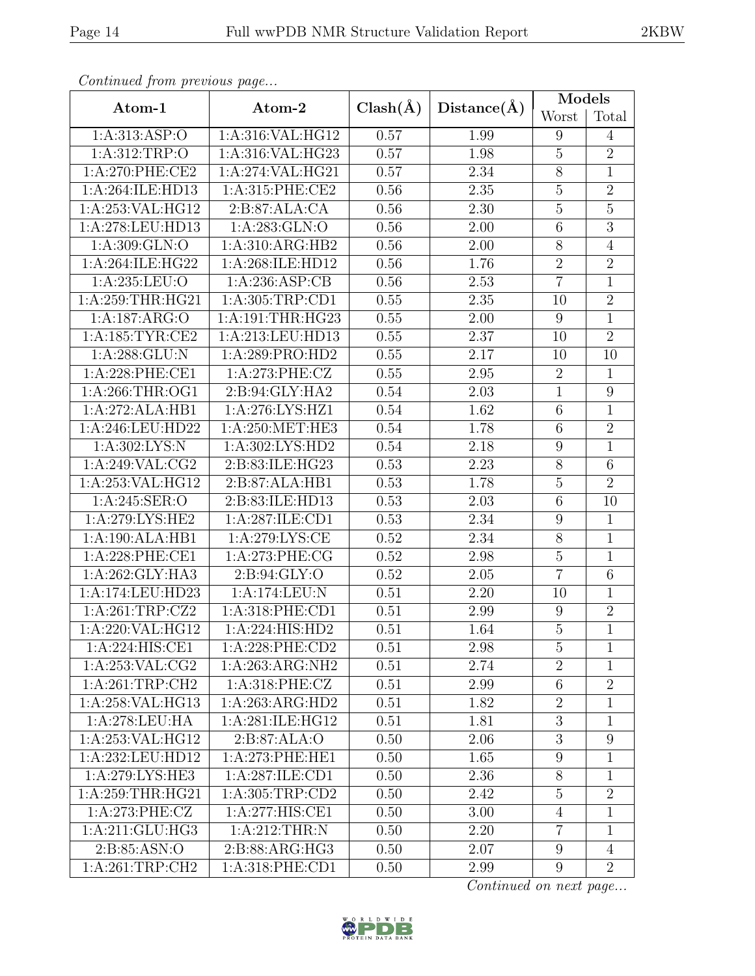|--|

| Contentaca from precious page           |                              |              |             | Models           |                 |  |
|-----------------------------------------|------------------------------|--------------|-------------|------------------|-----------------|--|
| Atom-1                                  | Atom-2                       | $Clash(\AA)$ | Distance(A) | Worst            | Total           |  |
| 1:A:313:ASP:O                           | 1:A:316:VAL:HG12             | 0.57         | 1.99        | 9                | $\overline{4}$  |  |
| 1:A:312:TRP:O                           | 1:A:316:VAL:HG23             |              | 1.98        | $\mathbf 5$      | $\overline{2}$  |  |
| 1:A:270:PHE:CE2                         | 1:A:274:VAL:HG21             |              | 2.34        | $8\,$            | $\mathbf{1}$    |  |
| 1:A:264:ILE:HD13                        | 1:A:315:PHE:CE2              | 0.56         | 2.35        | $\overline{5}$   | $\overline{2}$  |  |
| 1:A:253:VAL:HG12                        | 2:B:87:ALA:CA                | 0.56         | 2.30        | $\overline{5}$   | $\overline{5}$  |  |
| 1:A:278:LEU:HD13                        | 1:A:283:GLN:O                | 0.56         | 2.00        | $\,6$            | $\overline{3}$  |  |
| 1:A:309:GLN:O                           | 1:A:310:ARG:HB2              | 0.56         | 2.00        | $8\,$            | $\,4\,$         |  |
| 1:A:264:ILE:HG22                        | 1:A:268:ILE:HD12             | 0.56         | 1.76        | $\overline{2}$   | $\overline{2}$  |  |
| 1:A:235:LEU:O                           | 1:A:236:ASP:CB               | 0.56         | 2.53        | $\overline{7}$   | $\mathbf 1$     |  |
| 1:A:259:THR:HG21                        | 1:A:305:TRP:CD1              | 0.55         | 2.35        | 10               | $\overline{2}$  |  |
| 1:A:187:ARG:O                           | 1:A:191:THR:HG23             | 0.55         | 2.00        | $9\,$            | $\overline{1}$  |  |
| 1: A: 185: TYR: CE2                     | 1:A:213:LEU:HD13             | 0.55         | 2.37        | 10               | $\overline{2}$  |  |
| 1:A:288:GLU:N                           | 1:A:289:PRO:HD2              | 0.55         | 2.17        | 10               | 10              |  |
| 1:A:228:PHE:CE1                         | 1:A:273:PHE:CZ               | 0.55         | 2.95        | $\overline{2}$   | 1               |  |
| 1:A:266:THR:OG1                         | 2:B:94:GLY:HA2               | 0.54         | 2.03        | $\mathbf{1}$     | 9               |  |
| 1:A:272:ALA:HB1<br>1:A:276:LYS:HZ1      |                              | 0.54         | 1.62        | $\,6$            | $\mathbf 1$     |  |
| 1:A:246:LEU:HD22                        | 1:A:250:MET:HE3              | 0.54         | 1.78        | $\,6$            | $\overline{2}$  |  |
| 1: A:302: LYS:N                         | 1:A:302:LYS:HD2              | 0.54         | 2.18        | 9                | $\mathbf 1$     |  |
| 1:A:249:VAL:CG2                         | 2:B:83:ILE:HG23              | 0.53         | 2.23        | $8\,$            | $6\phantom{.}6$ |  |
| 1:A:253:VAL:HG12                        | 2:B:87:ALA:HB1               | 0.53         | 1.78        | $\mathbf 5$      | $\overline{2}$  |  |
| 1:A:245:SER:O                           | 2:B:83:ILE:HD13              | 0.53         | 2.03        | $\,6$            | 10              |  |
| 1: A:279: LYS: HE2                      | 1:A:287:ILE:CD1              | 0.53         | 2.34        | $9\,$            | $\mathbf{1}$    |  |
| 1:A:190:ALA:HB1                         | 1: A:279: LYS: CE            | 0.52         | 2.34        | $8\,$            | $\mathbf{1}$    |  |
| 1:A:228:PHE:CE1                         | 1:A:273:PHE:CG               | 0.52         | 2.98        | $\overline{5}$   | $\overline{1}$  |  |
| 1:A:262:GLY:HA3                         | 2:B:94:GLY:O                 | 0.52         | $2.05\,$    | $\overline{7}$   | $6\phantom{.}6$ |  |
| 1:A:174:LEU:HD23                        | 1:A:174:LEU:N                | 0.51         | 2.20        | 10               | $\mathbf{1}$    |  |
| 1:A:261:TRP:CZ2                         | 1:A:318:PHE:CD1              | 0.51         | 2.99        | 9                | $\sqrt{2}$      |  |
| 1:A:220:VAL:HG12                        | $1:\overline{A:224:HIS:HD2}$ | 0.51         | 1.64        | $\overline{5}$   | $\overline{1}$  |  |
| 1:A:224:HIS:CE1                         | 1:A:228:PHE:CD2              | 0.51         | 2.98        | $\overline{5}$   | $\mathbf 1$     |  |
| 1:A:253:VAL:CG2                         | 1:A:263:ARG:NH2              | 0.51         | 2.74        | $\overline{2}$   | 1               |  |
| 1: A:261:TRP:CH2                        | 1:A:318:PHE:CZ               | 0.51         | 2.99        | $6\phantom{.}6$  | $\sqrt{2}$      |  |
| 1:A:258:VAL:HG13                        | 1:A:263:ARG:HD2              | 0.51         | 1.82        | $\overline{2}$   | 1               |  |
| 1:A:278:LEU:HA                          | 1: A:281: ILE: HG12          | 0.51         | 1.81        | 3                | 1               |  |
| 1:A:253:VAL:HG12                        | 2:B:87:ALA:O                 | 0.50         | 2.06        | 3                | 9               |  |
| 1:A:232:LEU:HD12                        | 1:A:273:PHE:HE1              | 0.50         | 1.65        | $\boldsymbol{9}$ | $\mathbf 1$     |  |
| 1: A:279: LYS: HE3                      | 1:A:287:ILE:CD1              | 0.50         | 2.36        | 8                | 1               |  |
| 1:A:259:THR:HG21<br>1: A: 305: TRP: CD2 |                              | 0.50         | 2.42        | $\overline{5}$   | $\sqrt{2}$      |  |
| $1:A:273:\overline{PHE:CZ}$             | 1:A:277:HIS:CE1              | 0.50         | 3.00        | $\overline{4}$   | $\mathbf 1$     |  |
| 1:A:211:GLU:HG3                         | 1: A:212:THR:N               | 0.50         | 2.20        | $\overline{7}$   | $\mathbf 1$     |  |
| 2:B:85:ASN:O                            | 2: B: 88: ARG: HG3           | 0.50         | 2.07        | $9\phantom{.0}$  | $\overline{4}$  |  |
| 1:A:261:TRP:CH2<br>1: A:318: PHE:CD1    |                              | 0.50         | 2.99        | $9\phantom{.0}$  | $\overline{2}$  |  |

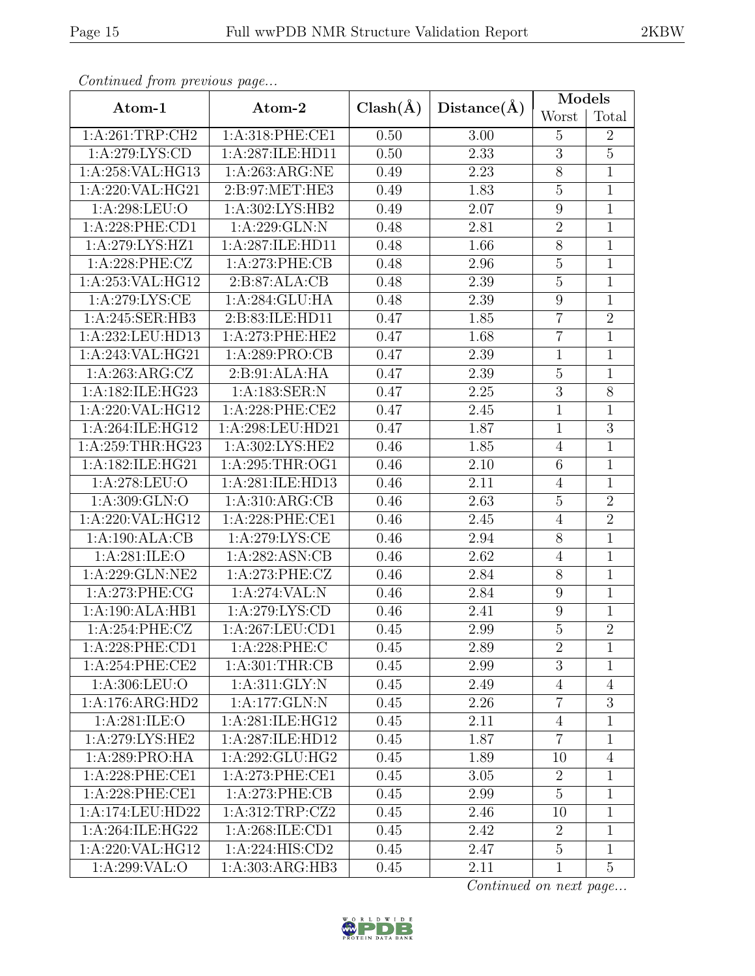|--|

| Contentaca from precious page    |                             |              |                   | Models          |                |  |
|----------------------------------|-----------------------------|--------------|-------------------|-----------------|----------------|--|
| Atom-1                           | Atom-2                      | $Clash(\AA)$ | Distance(A)       | Worst           | Total          |  |
| 1:A:261:TRP:CH2                  | 1:A:318:PHE:CE1             | 0.50         | 3.00              | 5               | $\overline{2}$ |  |
| 1:A:279:LYS:CD                   | 1:A:287:ILE:HD11            | 0.50         | 2.33              | $\overline{3}$  | $\overline{5}$ |  |
| 1:A:258:VAL:HG13                 | 1: A:263:ARG:NE             |              | 2.23              | $8\,$           | $\mathbf 1$    |  |
| 1:A:220:VAL:HG21                 | 2:B:97:MET:HE3              | 0.49         | 1.83              | $\overline{5}$  | $\mathbf 1$    |  |
| 1:A:298:LEU:O                    | 1:A:302:LYS:HB2             | 0.49         | 2.07              | 9               | $\mathbf{1}$   |  |
| 1:A:228:PHE:CD1                  | 1:A:229:GLN:N               | 0.48         | 2.81              | $\overline{2}$  | $\mathbf 1$    |  |
| 1:A:279:LYS:HZ1                  | 1:A:287:ILE:HD11            | 0.48         | 1.66              | $8\,$           | $\mathbf{1}$   |  |
| 1:A:228:PHE:CZ                   | 1: A:273: PHE:CB            | 0.48         | 2.96              | $\mathbf 5$     | $\mathbf 1$    |  |
| 1:A:253:VAL:HG12                 | 2:B:87:ALA:CB               | 0.48         | 2.39              | $\overline{5}$  | $\mathbf{1}$   |  |
| 1: A:279: LYS: CE                | $1:A:284:GLU:\overline{HA}$ | 0.48         | 2.39              | 9               | $\mathbf{1}$   |  |
| 1:A:245:SER:HB3                  | 2:B:83:ILE:HD11             | 0.47         | 1.85              | $\overline{7}$  | $\overline{2}$ |  |
| 1:A:232:LEU:HD13                 | 1:A:273:PHE:HE2             | 0.47         | 1.68              | $\overline{7}$  | $\mathbf 1$    |  |
| 1:A:243:VAL:HG21                 | 1:A:289:PRO:CB              | 0.47         | 2.39              | $\mathbf{1}$    | $\mathbf 1$    |  |
| 1: A:263:ARG:CZ                  | 2:B:91:ALA:HA               | 0.47         | 2.39              | $\mathbf 5$     | $\mathbf 1$    |  |
| 1:A:182:ILE:HG23                 | 1:A:183:SER:N               | 0.47         | 2.25              | 3               | 8              |  |
| 1:A:220:VAL:HG12                 | 1:A:228:PHE:CE2             | 0.47         | $\overline{2}.45$ | $\mathbf{1}$    | $\mathbf 1$    |  |
| 1:A:264:ILE:HG12                 | 1:A:298:LEU:HD21            | 0.47         | 1.87              | $\mathbf{1}$    | 3              |  |
| 1:A:259:THR:HG23                 | 1:A:302:LYS:HE2             | 0.46         | 1.85              | $\overline{4}$  | 1              |  |
| 1:A:182:ILE:HG21                 | 1:A:295:THR:OG1             | 0.46         | 2.10              | $6\phantom{.}6$ | 1              |  |
| 1:A:278:LEU:O                    | 1:A:281:ILE:HD13            | 0.46         | 2.11              | $\overline{4}$  | $1\,$          |  |
| 1:A:309:GLN:O                    | 1: A:310: ARG:CB            | 0.46         | 2.63              | $\overline{5}$  | $\overline{2}$ |  |
| $1:$ A:220:VAL:HG12              | 1:A:228:PHE:CE1             | 0.46         | 2.45              | $\overline{4}$  | $\overline{2}$ |  |
| 1:A:190:ALA:CB                   | 1:A:279:LYS:CE              | 0.46         | 2.94              | $8\,$           | 1              |  |
| 1: A:281: ILE: O                 | 1:A:282:ASN:CB              | 0.46         | 2.62              | $\overline{4}$  | $\overline{1}$ |  |
| 1:A:229:GLN:NE2                  | $1: A:273:$ PHE:CZ          | 0.46         | 2.84              | $8\,$           | $\mathbf{1}$   |  |
| 1: A:273: PHE:CG                 | 1:A:274:VAL:N               | 0.46         | 2.84              | $\overline{9}$  | $\mathbf{1}$   |  |
| 1:A:190:ALA:HB1                  | 1:A:279:LYS:CD              | 0.46         | 2.41              | 9               | 1              |  |
| 1:A:254:PHE:CZ                   | 1: A:267:LEU:CD1            | 0.45         | 2.99              | $\overline{5}$  | $\overline{2}$ |  |
| 1:A:228:PHE:CD1                  | 1:A:228:PHE:C               | 0.45         | 2.89              | $\overline{2}$  | $\mathbf 1$    |  |
| 1: A:254:PHE:CE2                 | 1: A:301:THR:CB             | 0.45         | 2.99              | 3               | 1              |  |
| 1: A:306: LEU:O                  | 1: A:311: GLY:N             | 0.45         | 2.49              | $\overline{4}$  | $\overline{4}$ |  |
| 1:A:176:ARG:HD2                  | 1:A:177:GLN:N               | 0.45         | 2.26              | $\overline{7}$  | 3              |  |
| 1:A:281:ILE:O                    | 1: A:281: ILE: HG12         | 0.45         | 2.11              | $\overline{4}$  | 1              |  |
| 1: A:279: LYS: HE2               | 1:A:287:ILE:HD12            | 0.45         | 1.87              | $\overline{7}$  | 1              |  |
| 1:A:289:PRO:HA                   | 1:A:292:GLU:HG2             | 0.45         | 1.89              | 10              | $\overline{4}$ |  |
| 1:A:228:PHE:CE1                  | 1:A:273:PHE:CE1             | 0.45         | 3.05              | $\overline{2}$  | 1              |  |
| 1: A:228: PHE:CE1                | 1: A:273: PHE:CB            | 0.45         | 2.99              | $\overline{5}$  | 1              |  |
| 1:A:174:LEU:HD22                 | 1: A:312:TRP: CZ2           | 0.45         | 2.46              | 10              | 1              |  |
| 1:A:264:ILE:HG22                 | 1:A:268:ILE:CD1             | 0.45         | 2.42              | $\overline{2}$  | $\mathbf 1$    |  |
| 1:A:220:VAL:HG12                 | 1:A:224:HIS:CD2             | 0.45         | 2.47              | $\overline{5}$  | 1              |  |
| 1:A:299:VAL:O<br>1:A:303:ARG:HB3 |                             | 0.45         | 2.11              | $\mathbf{1}$    | $\overline{5}$ |  |

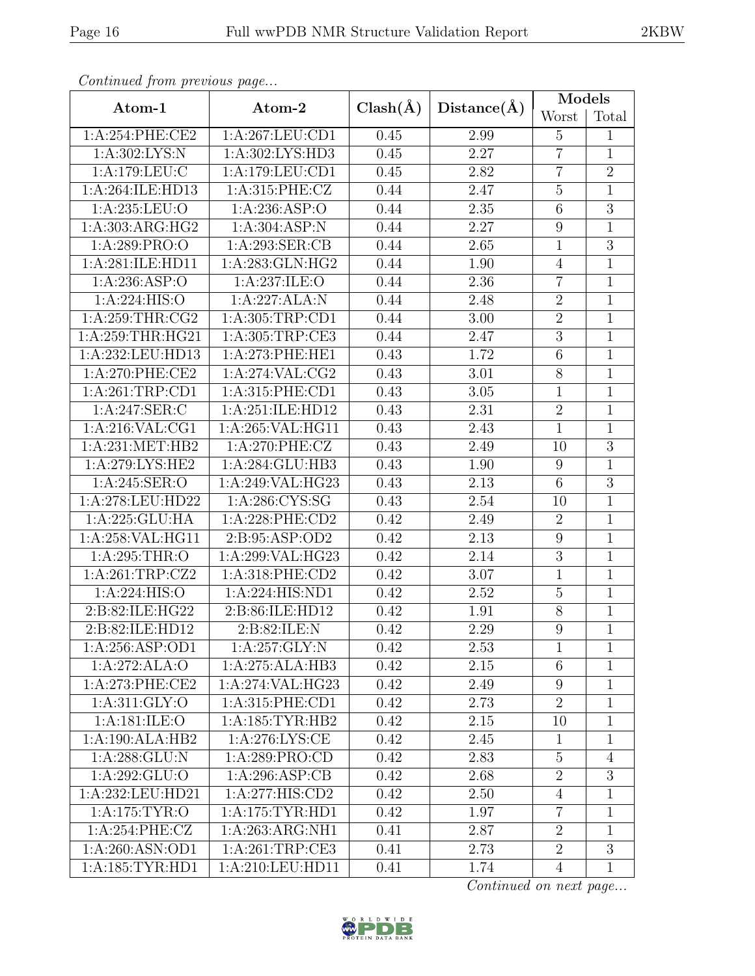|--|

| Continuea from previous page            |                     |              |                   | Models         |                |
|-----------------------------------------|---------------------|--------------|-------------------|----------------|----------------|
| Atom-1                                  | Atom-2              | $Clash(\AA)$ | Distance(A)       | Worst          | Total          |
| 1:A:254:PHE:CE2                         | 1:A:267:LEU:CD1     | 0.45         | 2.99              | 5              | 1              |
| 1:A:302:LYS:N<br>1:A:302:LYS:HD3        |                     | 0.45         | 2.27              | $\overline{7}$ | $\mathbf 1$    |
| 1:A:179:LEU:C                           | 1:A:179:LEU:CD1     | 0.45         | 2.82              | $\overline{7}$ | $\sqrt{2}$     |
| 1:A:264:ILE:HD13                        | 1:A:315:PHE:CZ      | 0.44         | 2.47              | $\overline{5}$ | $\mathbf{1}$   |
| 1: A:235:LEU:O                          | 1: A:236: ASP:O     | 0.44         | $2.35\,$          | 6              | $\mathfrak{Z}$ |
| 1:A:303:ARG:HG2                         | 1:A:304:ASP:N       | 0.44         | 2.27              | 9              | $\mathbf 1$    |
| 1:A:289:PRO:O                           | 1:A:293:SER:CB      | 0.44         | 2.65              | $\mathbf 1$    | $\overline{3}$ |
| 1:A:281:ILE:HD11                        | 1:A:283:GLN:HG2     | 0.44         | 1.90              | $\overline{4}$ | $\mathbf{1}$   |
| 1:A:236:ASP:O                           | 1:A:237:ILE:O       | 0.44         | 2.36              | $\overline{7}$ | $\overline{1}$ |
| 1:A:224:HIS:O                           | 1:A:227:ALA:N       | 0.44         | 2.48              | $\overline{2}$ | $\mathbf 1$    |
| 1:A:259:THR:CG2                         | 1: A: 305: TRP: CD1 | 0.44         | $3.00\,$          | $\overline{2}$ | $\mathbf 1$    |
| 1:A:259:THR:HG21                        | 1:A:305:TRP:CE3     | 0.44         | 2.47              | 3              | $\mathbf{1}$   |
| 1:A:232:LEU:HD13                        | 1:A:273:PHE:HE1     | 0.43         | 1.72              | 6              | $\mathbf{1}$   |
| 1:A:270:PHE:CE2                         | 1:A:274:VAL:CG2     | 0.43         | $\overline{3.01}$ | $8\,$          | $\mathbf 1$    |
| 1:A:261:TRP:CD1                         | 1:A:315:PHE:CD1     | 0.43         | $3.05\,$          | $\mathbf{1}$   | $\mathbf{1}$   |
| 1:A:247:SER:C                           | 1:A:251:ILE:HD12    | 0.43         | 2.31              | $\overline{2}$ | $\mathbf{1}$   |
| 1: A:216: VAL:CG1                       | 1:A:265:VAL:HG11    | 0.43         | 2.43              | $\mathbf{1}$   | $\mathbf{1}$   |
| 1: A:231: MET:HB2                       | 1:A:270:PHE:CZ      | 0.43         | 2.49              | 10             | $\overline{3}$ |
| 1:A:279:LYS:HE2                         | 1:A:284:GLU:HB3     | 0.43         | 1.90              | 9              | 1              |
| 1:A:245:SER:O                           | 1:A:249:VAL:HG23    | 0.43         | 2.13              | 6              | $\overline{3}$ |
| 1:A:278:LEU:HD22                        | 1:A:286:CYS:SG      | 0.43         | 2.54              | 10             | $\mathbf 1$    |
| 1:A:225:GLU:HA                          | 1:A:228:PHE:CD2     |              | 2.49              | $\overline{2}$ | 1              |
| 1:A:258:VAL:HG11                        | 2:B:95:ASP:OD2      | 0.42         | 2.13              | $9\,$          | 1              |
| 1:A:295:THR:O                           | 1:A:299:VAL:HG23    | 0.42         | 2.14              | 3              | $\mathbf 1$    |
| 1:A:261:TRP:CZ2                         | 1:A:318:PHE:CD2     | 0.42         | 3.07              | $\mathbf{1}$   | $\mathbf{1}$   |
| 1:A:224:HIS:O                           | 1:A:224:HIS:ND1     | 0.42         | $\overline{2.52}$ | $\overline{5}$ | $\mathbf{1}$   |
| 2:B:82:ILE:HG22                         | 2:B:86:ILE:HD12     | 0.42         | 1.91              | $8\,$          | $\mathbf{1}$   |
| 2:B:82:ILE:HD12                         | 2: B:82: ILE:N      | 0.42         | $\overline{2.29}$ | $\overline{9}$ | $\overline{1}$ |
| 1: A:256: ASP:OD1                       | 1:A:257:GLY:N       | 0.42         | 2.53              | $\mathbf{1}$   | 1              |
| 1:A:272:ALA:O                           | 1:A:275:ALA:HB3     | 0.42         | 2.15              | 6              | 1              |
| 1: A:273: PHE:CE2                       | 1:A:274:VAL:HG23    | 0.42         | 2.49              | 9              | 1              |
| 1: A:311: GLY:O                         | 1:A:315:PHE:CD1     | 0.42         | 2.73              | $\overline{2}$ | $\mathbf{1}$   |
| 1: A:181: ILE: O                        | 1: A:185: TYR: HB2  | 0.42         | 2.15              | 10             | 1              |
| 1:A:190:ALA:HB2                         | 1: A:276: LYS: CE   | 0.42         | 2.45              | $\mathbf{1}$   | 1              |
| 1: A:288: GLU:N                         | 1:A:289:PRO:CD      | 0.42         | 2.83              | 5              | $\overline{4}$ |
| 1:A:292:GLU:O                           | 1:A:296:ASP:CB      | 0.42         | 2.68              | $\overline{2}$ | 3              |
| 1:A:232:LEU:HD21                        | 1: A:277: HIS: CD2  |              | 2.50              | $\overline{4}$ | 1              |
| 1:A:175:TYR:O                           | 1: A:175: TYR: HD1  | 0.42         | 1.97              | $\overline{7}$ | 1              |
| 1: A:254:PHE:CZ                         | 1:A:263:ARG:NH1     | 0.41         | 2.87              | $\overline{2}$ | $\mathbf 1$    |
| 1:A:260:ASN:OD1                         | 1:A:261:TRP:CE3     | 0.41         | 2.73              | $\overline{2}$ | 3              |
| 1: A: 185: TYR: HD1<br>1:A:210:LEU:HD11 |                     | 0.41         | 1.74              | $\overline{4}$ | $\mathbf 1$    |

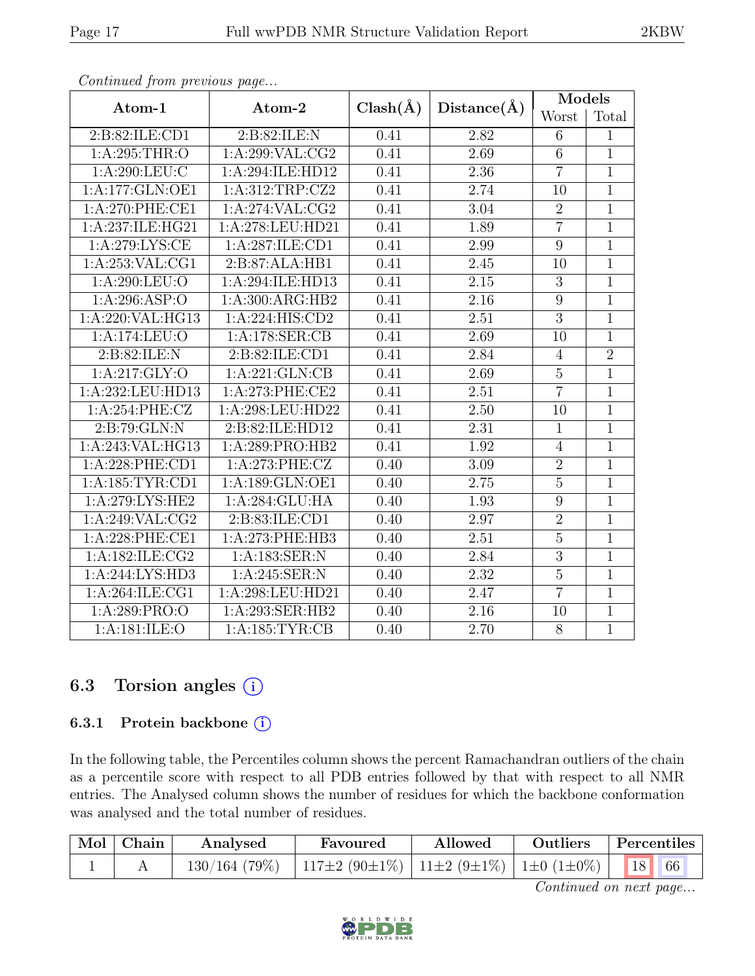|--|--|

| Atom-1                                 | Atom-2                       |              |                   | Models         |                |
|----------------------------------------|------------------------------|--------------|-------------------|----------------|----------------|
|                                        |                              | $Clash(\AA)$ | Distance(A)       | Worst          | Total          |
| 2:B:82:ILE:CD1                         | 2:B:82:ILE:N                 | 0.41         | 2.82              | $\,6$          | 1              |
| 1:A:295:THR:O                          | $1:$ A:299:VAL:CG2           | 0.41         | 2.69              | $\overline{6}$ | $\mathbf{1}$   |
| 1: A:290: LEU: C                       | 1:A:294:ILE:HD12             | 0.41         | 2.36              | $\overline{7}$ | 1              |
| 1:A:177:GLN:OE1                        | 1:A:312:TRP:CZ2              | 0.41         | 2.74              | 10             | $\mathbf{1}$   |
| $1: A:270:$ PHE:CE1                    | 1:A:274:VAL:CG2              | 0.41         | 3.04              | $\overline{2}$ | $\mathbf{1}$   |
| 1:A:237:ILE:HG21                       | 1:A:278:LEU:HD21             | 0.41         | 1.89              | $\overline{7}$ | $\overline{1}$ |
| 1:A:279:LYS:CE                         | 1:A:287:ILE:CD1              | 0.41         | 2.99              | 9              | $\mathbf 1$    |
| 1:A:253:VAL:CG1                        | 2:B:87:ALA:HB1               | 0.41         | 2.45              | 10             | $\mathbf{1}$   |
| 1:A:290:LEU:O                          | 1:A:294:ILE:HD13             | 0.41         | 2.15              | $\sqrt{3}$     | $\mathbf 1$    |
| 1:A:296:ASP:O                          | 1:A:300:ARG:HB2              | 0.41         | 2.16              | $\overline{9}$ | $\mathbf{1}$   |
| 1:A:220:VAL:HG13                       | $1:A:224:\overline{HIS:CD2}$ | 0.41         | 2.51              | $\overline{3}$ | $\mathbf 1$    |
| 1:A:174:LEU:O                          | 1:A:178:SER:CB               | 0.41         | 2.69              | 10             | $\mathbf{1}$   |
| 2: B:82: ILE:N                         | 2:B:82:ILE:CD1               | 0.41         | 2.84              | $\overline{4}$ | $\overline{2}$ |
| 1: A:217: GLY:O                        | 1:A:221:GLN:CB               | 0.41         | 2.69              | $\overline{5}$ | $\mathbf{1}$   |
| 1:A:232:LEU:HD13                       | 1:A:273:PHE:CE2              | 0.41         | 2.51              | $\overline{7}$ | $\mathbf 1$    |
| 1: A:254:PHE:CZ                        | 1:A:298:LEU:HD22             | 0.41         | 2.50              | 10             | $\mathbf{1}$   |
| 2:B:79:GLN:N                           | 2:B:82:ILE:HD12              | 0.41         | 2.31              | $\mathbf{1}$   | $\mathbf 1$    |
| 1:A:243:VAL:HG13                       | 1:A:289:PRO:HB2              | 0.41         | 1.92              | $\overline{4}$ | 1              |
| 1:A:228:PHE:CD1                        | 1:A:273:PHE:CZ               | 0.40         | 3.09              | $\overline{2}$ | $\mathbf{1}$   |
| 1:A:185:TYR:CD1                        | 1:A:189:GLN:OE1              | 0.40         | 2.75              | $\overline{5}$ | $\mathbf{1}$   |
| 1: A:279: LYS: HE2                     | 1:A:284:GLU:HA               | 0.40         | 1.93              | $\overline{9}$ | $\overline{1}$ |
| 1: A:249: VAL: CG2                     | 2:B:83:ILE:CD1               | 0.40         | 2.97              | $\overline{2}$ | $\mathbf{1}$   |
| 1:A:228:PHE:CE1                        | 1:A:273:PHE:HB3              | 0.40         | 2.51              | $\overline{5}$ | $\overline{1}$ |
| $1: A: 182: \overline{\text{ILE:CG2}}$ | 1:A:183:SER:N                | 0.40         | 2.84              | $\overline{3}$ | $\mathbf{1}$   |
| 1:A:244:LYS:HD3                        | 1: A:245: SER: N             | 0.40         | $\overline{2.32}$ | $\overline{5}$ | $\mathbf{1}$   |
| 1: A:264: ILE:CG1                      | 1:A:298:LEU:HD21             | 0.40         | 2.47              | $\overline{7}$ | $\mathbf{1}$   |
| 1: A:289: PRO:O                        | 1:A:293:SER:HB2              | 0.40         | 2.16              | 10             | $\mathbf{1}$   |
| 1:A:181:ILE:O                          | 1: A: 185: TYR: CB           | 0.40         | 2.70              | $\overline{8}$ | $\overline{1}$ |

#### 6.3 Torsion angles (i)

#### 6.3.1 Protein backbone ①

In the following table, the Percentiles column shows the percent Ramachandran outliers of the chain as a percentile score with respect to all PDB entries followed by that with respect to all NMR entries. The Analysed column shows the number of residues for which the backbone conformation was analysed and the total number of residues.

| $\vert$ Mol $\vert$ Chain $\vert$ | Analysed | Favoured                                                                                                       | A llowed | <b>Outliers</b> | Percentiles |
|-----------------------------------|----------|----------------------------------------------------------------------------------------------------------------|----------|-----------------|-------------|
|                                   |          | $130/164$ (79%)   117 $\pm 2$ (90 $\pm 1\%$ )   11 $\pm 2$ (9 $\pm 1\%$ )   1 $\pm 0$ (1 $\pm 0\%$ )   18   66 |          |                 |             |

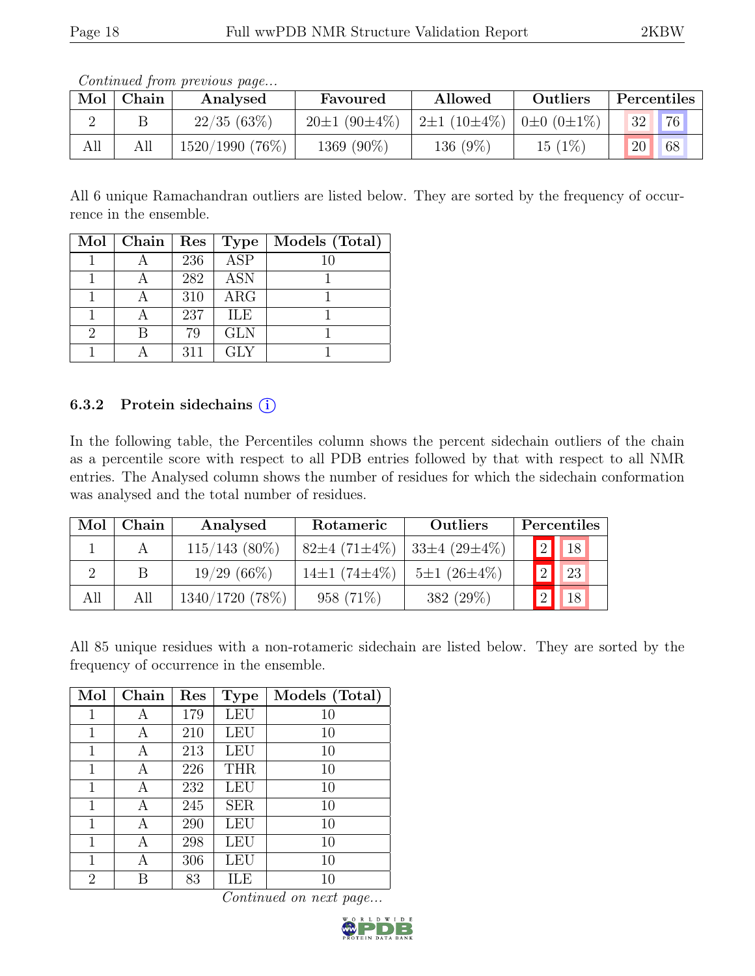| Mol | Chain | Analysed          | Favoured           | Allowed                                         | Outliers  | Percentiles           |
|-----|-------|-------------------|--------------------|-------------------------------------------------|-----------|-----------------------|
|     |       | 22/35(63%)        | $20\pm1(90\pm4\%)$ | $2\pm1$ (10 $\pm4\%$ )   0 $\pm0$ (0 $\pm1\%$ ) |           | 76<br>32              |
| All | All   | $1520/1990(76\%)$ | 1369 (90%)         | 136 $(9\%)$                                     | $15(1\%)$ | 20 <sub>1</sub><br>68 |

All 6 unique Ramachandran outliers are listed below. They are sorted by the frequency of occurrence in the ensemble.

|   | $Mol$   Chain | $\operatorname{Res}% \left( \mathcal{N}\right) \equiv\operatorname{Res}(\mathcal{N}_{0})\cap\mathcal{N}_{1}$ | Type       | Models (Total) |
|---|---------------|--------------------------------------------------------------------------------------------------------------|------------|----------------|
|   |               | 236                                                                                                          | <b>ASP</b> | 10             |
|   |               | 282                                                                                                          | <b>ASN</b> |                |
|   |               | 310                                                                                                          | ARG        |                |
|   |               | 237                                                                                                          | <b>ILE</b> |                |
| 2 |               | 79                                                                                                           | <b>GLN</b> |                |
|   |               | 311                                                                                                          | <b>GLY</b> |                |

#### 6.3.2 Protein sidechains  $(i)$

In the following table, the Percentiles column shows the percent sidechain outliers of the chain as a percentile score with respect to all PDB entries followed by that with respect to all NMR entries. The Analysed column shows the number of residues for which the sidechain conformation was analysed and the total number of residues.

| Mol | Chain | Analysed        | Rotameric                 | Outliers           | Percentiles |          |                          |  |
|-----|-------|-----------------|---------------------------|--------------------|-------------|----------|--------------------------|--|
|     |       | $115/143$ (80%) | $82\pm4(71\pm4\%)$        | $33\pm4(29\pm4\%)$ |             |          | $\boxed{2}$ $\boxed{18}$ |  |
|     | В     | $19/29(66\%)$   | 14 $\pm$ 1 (74 $\pm$ 4\%) | $5\pm1(26\pm4\%)$  |             | 2        | <sup>23</sup>            |  |
| All | All   | 1340/1720 (78%) | 958 (71\%)                | 382 (29%)          |             | $2\vert$ | 18                       |  |

All 85 unique residues with a non-rotameric sidechain are listed below. They are sorted by the frequency of occurrence in the ensemble.

| Mol            | Chain | Res | <b>Type</b> | Models (Total) |
|----------------|-------|-----|-------------|----------------|
| 1              | А     | 179 | LEU         | 10             |
| 1              | А     | 210 | <b>LEU</b>  | 10             |
| 1              | А     | 213 | LEU         | 10             |
| 1              | А     | 226 | <b>THR</b>  | 10             |
| 1              | А     | 232 | <b>LEU</b>  | 10             |
| 1              | А     | 245 | <b>SER</b>  | 10             |
| 1              | А     | 290 | LEU         | 10             |
| 1              | А     | 298 | LEU         | 10             |
| 1              | А     | 306 | <b>LEU</b>  | 10             |
| $\overline{2}$ | В     | 83  | ILE         | 10             |

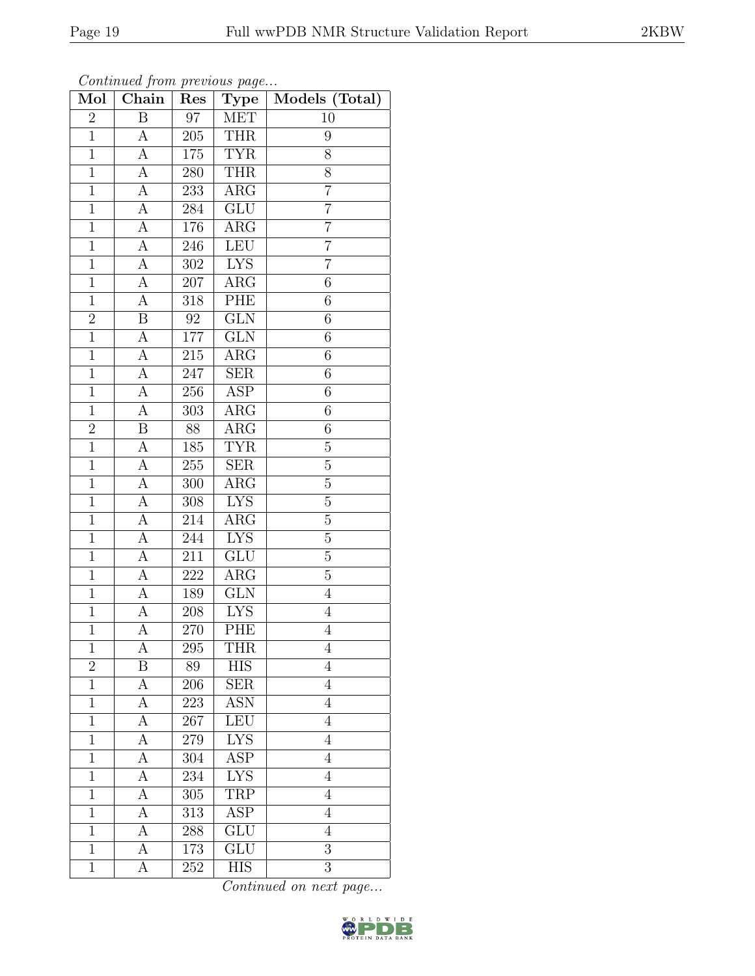| Mol            | $\overline{\text{Chain}}$ | Res              | Type                    | Models (Total) |
|----------------|---------------------------|------------------|-------------------------|----------------|
| $\overline{2}$ | $\overline{\mathrm{B}}$   | $\overline{97}$  | MET                     | 10             |
| $\overline{1}$ | $\mathbf{A}$              | 205              | <b>THR</b>              | 9              |
| $\overline{1}$ | $\overline{\rm A}$        | 175              | <b>TYR</b>              | $\overline{8}$ |
| $\mathbf{1}$   | $\boldsymbol{A}$          | 280              | <b>THR</b>              | 8              |
| $\mathbf{1}$   | $\overline{A}$            | 233              | $\overline{\text{ARG}}$ | $\overline{7}$ |
| $\mathbf{1}$   | $\boldsymbol{A}$          | 284              | <b>GLU</b>              | $\overline{7}$ |
| $\overline{1}$ | А                         | 176              | $\rm{ARG}$              | $\overline{7}$ |
| $\mathbf{1}$   | $\overline{A}$            | 246              | LEU                     | $\overline{7}$ |
| $\mathbf{1}$   | А                         | 302              | <b>LYS</b>              | $\overline{7}$ |
| $\mathbf{1}$   | А                         | 207              | $\overline{\text{ARG}}$ | 6              |
| $\overline{1}$ | А                         | 318              | PHE                     | 6              |
| $\sqrt{2}$     | B                         | $\rm 92$         | $\overline{\text{GLN}}$ | 6              |
| $\overline{1}$ | А                         | $177\,$          | GLN                     | 6              |
| $\mathbf{1}$   | $\boldsymbol{A}$          | 215              | $\rm{ARG}$              | 6              |
| $\mathbf{1}$   | A                         | 247              | SER                     | 6              |
| $\mathbf{1}$   | $\boldsymbol{A}$          | 256              | <b>ASP</b>              | 6              |
| $\mathbf{1}$   | $\boldsymbol{A}$          | 303              | $\rm{ARG}$              | 6              |
| $\overline{2}$ | B                         | 88               | $\rm{ARG}$              | 6              |
| $\mathbf{1}$   | A                         | 185              | <b>TYR</b>              | $\overline{5}$ |
| $\overline{1}$ | А                         | $255\,$          | $\overline{\text{SER}}$ | $\overline{5}$ |
| $\mathbf{1}$   | $\boldsymbol{A}$          | $300\,$          | $\rm{ARG}$              | $\overline{5}$ |
| $\overline{1}$ | $\overline{A}$            | $\overline{308}$ | <b>LYS</b>              | $\overline{5}$ |
| $\mathbf{1}$   | $\boldsymbol{A}$          | 214              | $\rm{ARG}$              | $\overline{5}$ |
| $\overline{1}$ | $\overline{\rm A}$        | 244              | <b>LYS</b>              | $\overline{5}$ |
| $\mathbf{1}$   | $\overline{A}$            | 211              | <b>GLU</b>              | $\overline{5}$ |
| $\overline{1}$ | A                         | 222              | ARG                     | $\overline{5}$ |
| $\overline{1}$ | $\overline{A}$            | 189              | $\overline{\text{GLN}}$ | $\overline{4}$ |
| $\mathbf{1}$   | А                         | 208              | <b>LYS</b>              | $\overline{4}$ |
| $\mathbf{1}$   | А                         | 270              | PHE                     | $\overline{4}$ |
| $\mathbf 1$    | А                         | 295              | <b>THR</b>              | $\overline{4}$ |
| $\overline{2}$ | Β                         | 89               | HIS                     | $\overline{4}$ |
| $\overline{1}$ | А                         | $206\,$          | SER                     | $\overline{4}$ |
| $\mathbf 1$    | A                         | 223              | <b>ASN</b>              | $\overline{4}$ |
| $\mathbf{1}$   | A                         | 267              | LEU                     | $\overline{4}$ |
| $\mathbf{1}$   | А                         | 279              | ${\rm LYS}$             | $\overline{4}$ |
| $\mathbf{1}$   | А                         | 304              | $\overline{\text{ASP}}$ | $\overline{4}$ |
| $\mathbf 1$    | А                         | 234              | <b>LYS</b>              | 4              |
| $\mathbf 1$    | А                         | 305              | TRP                     | $\overline{4}$ |
| $\overline{1}$ | А                         | 313              | ASP                     | $\overline{4}$ |
| 1              | A                         | 288              | GLU                     | $\overline{4}$ |
| $\overline{1}$ | A                         | 173              | GLU                     | $\overline{3}$ |
| $\mathbf{1}$   | А                         | 252              | <b>HIS</b>              | 3              |

Continued from previous page...

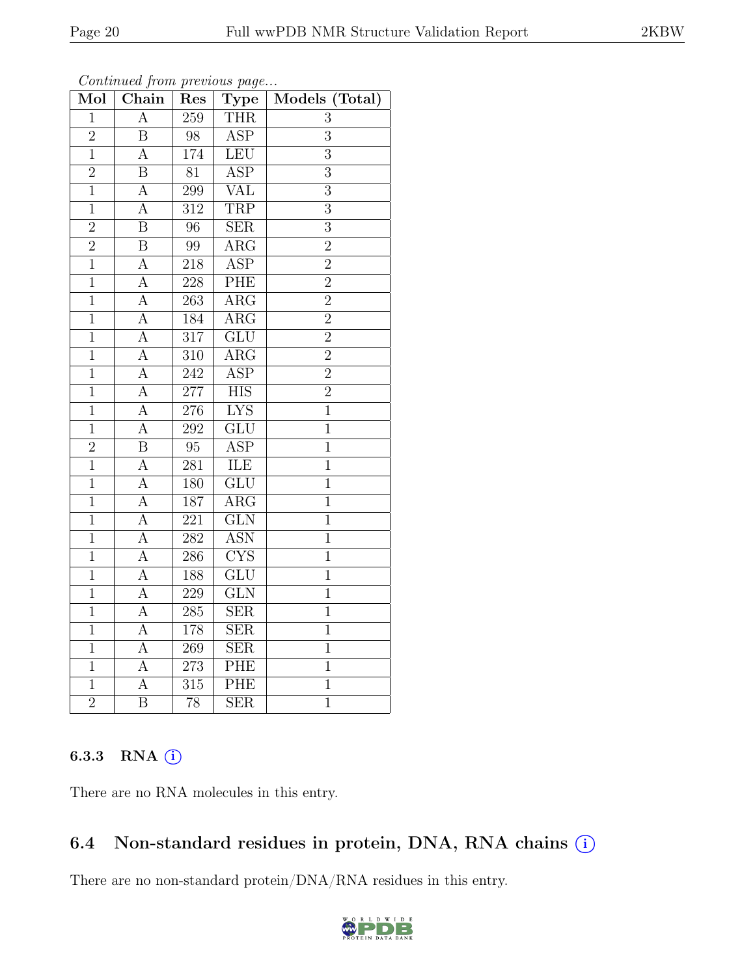| Mol            | $\overline{\text{Chain}}$ | Res              | $\overline{\text{Type}}$  | Models (Total)   |
|----------------|---------------------------|------------------|---------------------------|------------------|
| $\mathbf{1}$   | $\boldsymbol{A}$          | $\overline{259}$ | <b>THR</b>                | 3                |
| $\overline{2}$ | $\, {\bf B}$              | 98               | <b>ASP</b>                | $\boldsymbol{3}$ |
| $\overline{1}$ | $\overline{A}$            | 174              | LEU                       | $\overline{3}$   |
| $\overline{2}$ | $\overline{\mathrm{B}}$   | $\overline{81}$  | <b>ASP</b>                | $\overline{3}$   |
| $\overline{1}$ | $\overline{A}$            | 299              | VAL                       | $\overline{3}$   |
| $\mathbf{1}$   | $\overline{A}$            | $\overline{312}$ | <b>TRP</b>                | $\overline{3}$   |
| $\overline{2}$ | $\overline{\mathrm{B}}$   | 96               | <b>SER</b>                | $\overline{3}$   |
| $\overline{2}$ | $\overline{\mathrm{B}}$   | 99               | $\overline{\rm{ARG}}$     | $\overline{2}$   |
| $\overline{1}$ | $\overline{A}$            | 218              | $\overline{\text{ASP}}$   | $\overline{2}$   |
| $\overline{1}$ | $\overline{A}$            | 228              | PHE                       | $\overline{2}$   |
| $\mathbf{1}$   | $\overline{A}$            | 263              | $\overline{\text{ARG}}$   | $\overline{2}$   |
| $\overline{1}$ | $\overline{A}$            | 184              | $\overline{\text{ARG}}$   | $\overline{2}$   |
| $\overline{1}$ | $\overline{A}$            | $\overline{317}$ | GLU                       | $\overline{2}$   |
| $\mathbf{1}$   | $\overline{A}$            | 310              | $\overline{\rm{ARG}}$     | $\overline{2}$   |
| $\overline{1}$ | $\overline{A}$            | 242              | $\overline{\text{ASP}}$   | $\overline{2}$   |
| $\mathbf{1}$   | $\overline{A}$            | 277              | $\overline{\text{HIS}}$   | $\overline{2}$   |
| $\overline{1}$ | $\overline{A}$            | $\overline{276}$ | <b>LYS</b>                | $\overline{1}$   |
| $\overline{1}$ | $\overline{\rm A}$        | 292              | GLU                       | $\overline{1}$   |
| $\overline{2}$ | $\overline{\mathrm{B}}$   | $\overline{95}$  | $\overline{\text{ASP}}$   | $\mathbf{1}$     |
| $\overline{1}$ | $\overline{A}$            | 281              | ILE                       | $\mathbf{1}$     |
| $\mathbf{1}$   | $\overline{A}$            | 180              | $\overline{\mathrm{GLU}}$ | $\mathbf 1$      |
| $\overline{1}$ | $\overline{A}$            | 187              | $\overline{\rm{ARG}}$     | $\overline{1}$   |
| $\overline{1}$ | $\overline{A}$            | $\overline{221}$ | GLN                       | $\mathbf 1$      |
| $\overline{1}$ | $\overline{A}$            | $\overline{282}$ | <b>ASN</b>                | $\mathbf{1}$     |
| $\overline{1}$ | A                         | 286              | <b>CYS</b>                | $\mathbf{1}$     |
| $\overline{1}$ | $\overline{A}$            | 188              | GLU                       | $\mathbf 1$      |
| $\overline{1}$ | $\overline{A}$            | 229              | $\overline{\text{GLN}}$   | $\mathbf{1}$     |
| $\mathbf{1}$   | $\overline{A}$            | 285              | $\overline{\text{SER}}$   | $\overline{1}$   |
| $\overline{1}$ | $\overline{A}$            | 178              | $\overline{\text{SER}}$   | $\overline{1}$   |
| $\overline{1}$ | $\overline{A}$            | 269              | <b>SER</b>                | $\mathbf{1}$     |
| $\mathbf{1}$   | $\overline{A}$            | 273              | PHE                       | $\mathbf 1$      |
| $\mathbf{1}$   | $\overline{A}$            | $\overline{3}15$ | <b>PHE</b>                | $\mathbf{1}$     |
| $\overline{2}$ | $\overline{\mathrm{B}}$   | 78               | <b>SER</b>                | $\overline{1}$   |

Continued from previous page...

#### 6.3.3 RNA (i)

There are no RNA molecules in this entry.

### 6.4 Non-standard residues in protein, DNA, RNA chains (i)

There are no non-standard protein/DNA/RNA residues in this entry.

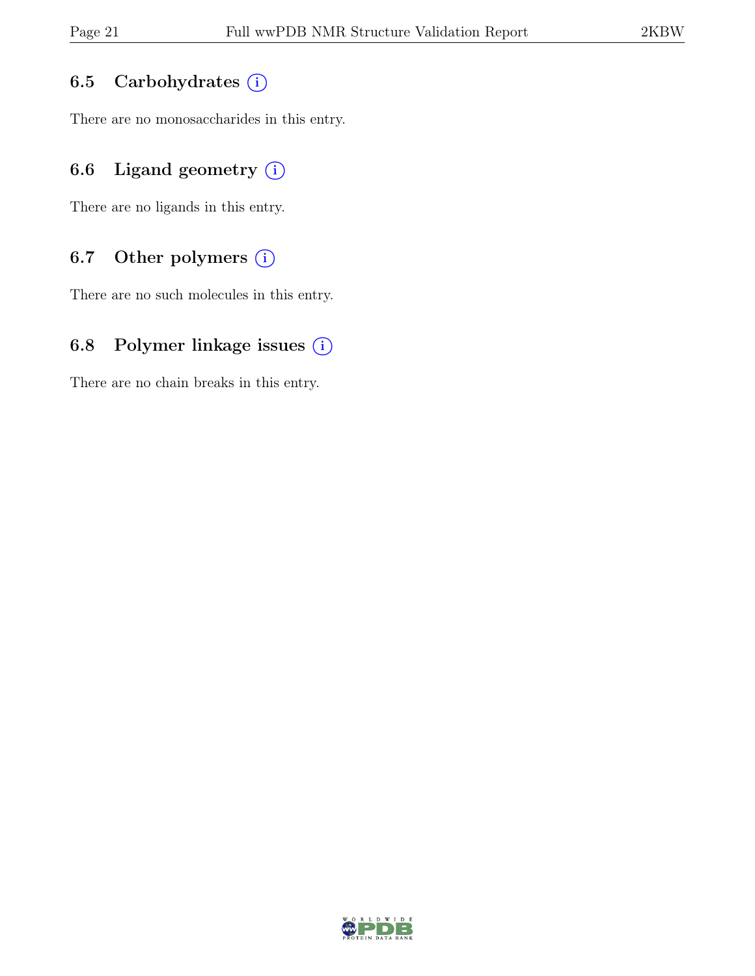#### 6.5 Carbohydrates (i)

There are no monosaccharides in this entry.

#### 6.6 Ligand geometry  $(i)$

There are no ligands in this entry.

#### 6.7 Other polymers (i)

There are no such molecules in this entry.

#### 6.8 Polymer linkage issues  $(i)$

There are no chain breaks in this entry.